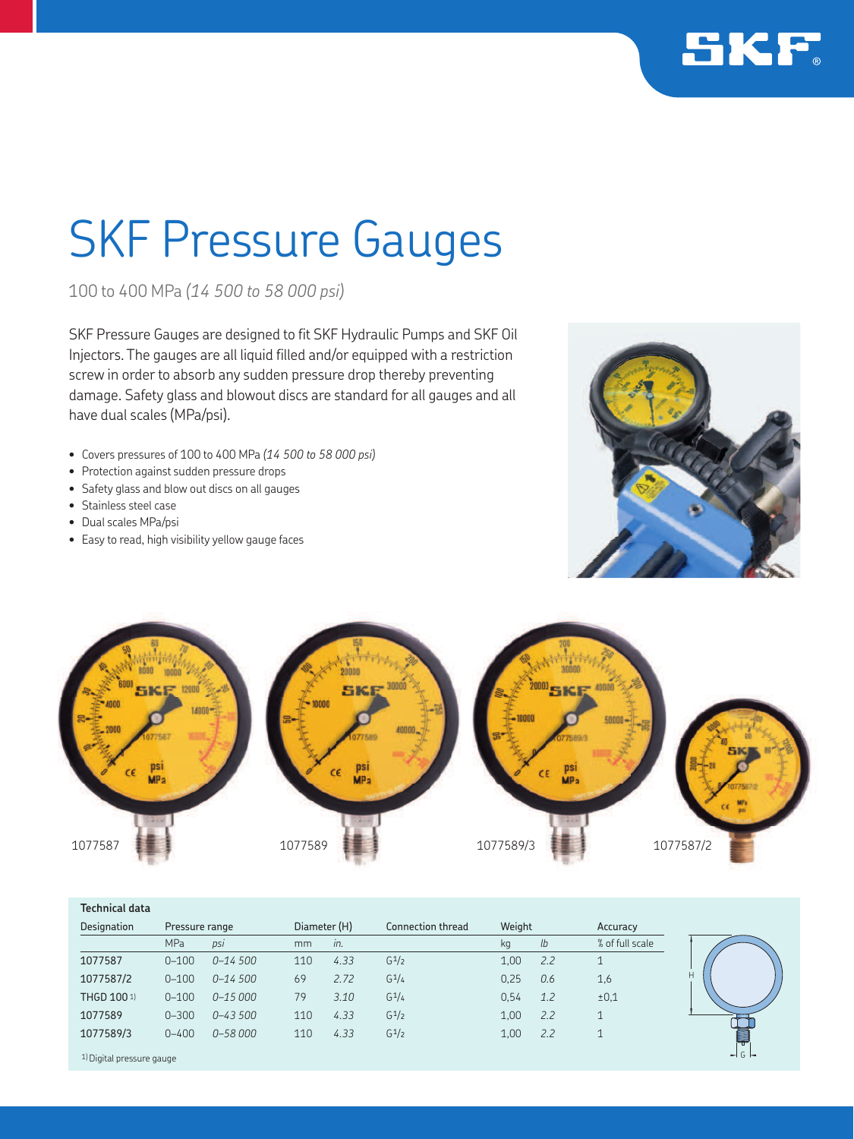

## SKF Pressure Gauges

100 to 400 MPa *(14 500 to 58 000 psi)*

SKF Pressure Gauges are designed to fit SKF Hydraulic Pumps and SKF Oil Injectors. The gauges are all liquid filled and/or equipped with a restriction screw in order to absorb any sudden pressure drop thereby preventing damage. Safety glass and blowout discs are standard for all gauges and all have dual scales (MPa/psi).

- Covers pressures of 100 to 400 MPa *(14 500 to 58 000 psi)*
- Protection against sudden pressure drops
- Safety glass and blow out discs on all gauges
- Stainless steel case
- Dual scales MPa/psi
- Easy to read, high visibility yellow gauge faces





| <b>Technical data</b> |                |              |     |              |                   |        |     |                 |
|-----------------------|----------------|--------------|-----|--------------|-------------------|--------|-----|-----------------|
| Designation           | Pressure range |              |     | Diameter (H) | Connection thread | Weight |     | Accuracy        |
|                       | <b>MPa</b>     | psi          | mm  | in.          |                   | kg     | lb  | % of full scale |
| 1077587               | $0 - 100$      | $0 - 14,500$ | 110 | 4.33         | $G^{\frac{1}{2}}$ | 1,00   | 2.2 | 1               |
| 1077587/2             | $0 - 100$      | $0 - 14,500$ | 69  | 2.72         | $G^{1/4}$         | 0,25   | 0.6 | 1,6             |
| THGD 100 1)           | $0 - 100$      | $0 - 15000$  | 79  | 3.10         | $G^1/4$           | 0.54   | 1.2 | ±0,1            |
| 1077589               | $0 - 300$      | $0 - 43500$  | 110 | 4.33         | $G^1/2$           | 1.00   | 2.2 | 1               |
| 1077589/3             | $0 - 400$      | $0 - 58000$  | 110 | 4.33         | $G^1/2$           | 1.00   | 2.2 | $\mathbf{1}$    |